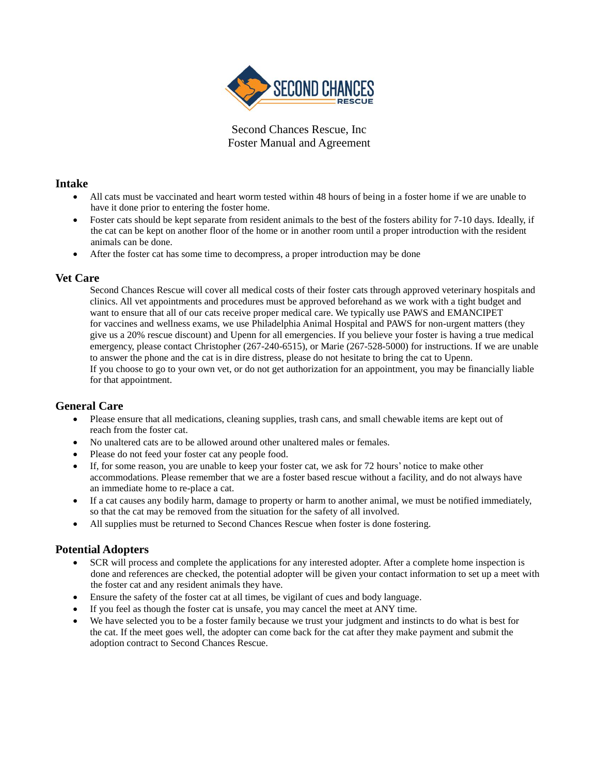

Second Chances Rescue, Inc Foster Manual and Agreement

# **Intake**

- All cats must be vaccinated and heart worm tested within 48 hours of being in a foster home if we are unable to have it done prior to entering the foster home.
- Foster cats should be kept separate from resident animals to the best of the fosters ability for 7-10 days. Ideally, if the cat can be kept on another floor of the home or in another room until a proper introduction with the resident animals can be done.
- After the foster cat has some time to decompress, a proper introduction may be done

#### **Vet Care**

Second Chances Rescue will cover all medical costs of their foster cats through approved veterinary hospitals and clinics. All vet appointments and procedures must be approved beforehand as we work with a tight budget and want to ensure that all of our cats receive proper medical care. We typically use PAWS and EMANCIPET for vaccines and wellness exams, we use Philadelphia Animal Hospital and PAWS for non-urgent matters (they give us a 20% rescue discount) and Upenn for all emergencies. If you believe your foster is having a true medical emergency, please contact Christopher (267-240-6515), or Marie (267-528-5000) for instructions. If we are unable to answer the phone and the cat is in dire distress, please do not hesitate to bring the cat to Upenn. If you choose to go to your own vet, or do not get authorization for an appointment, you may be financially liable for that appointment.

## **General Care**

- Please ensure that all medications, cleaning supplies, trash cans, and small chewable items are kept out of reach from the foster cat.
- No unaltered cats are to be allowed around other unaltered males or females.
- Please do not feed your foster cat any people food.
- If, for some reason, you are unable to keep your foster cat, we ask for 72 hours' notice to make other accommodations. Please remember that we are a foster based rescue without a facility, and do not always have an immediate home to re-place a cat.
- If a cat causes any bodily harm, damage to property or harm to another animal, we must be notified immediately, so that the cat may be removed from the situation for the safety of all involved.
- All supplies must be returned to Second Chances Rescue when foster is done fostering.

## **Potential Adopters**

- SCR will process and complete the applications for any interested adopter. After a complete home inspection is done and references are checked, the potential adopter will be given your contact information to set up a meet with the foster cat and any resident animals they have.
- Ensure the safety of the foster cat at all times, be vigilant of cues and body language.
- If you feel as though the foster cat is unsafe, you may cancel the meet at ANY time.
- We have selected you to be a foster family because we trust your judgment and instincts to do what is best for the cat. If the meet goes well, the adopter can come back for the cat after they make payment and submit the adoption contract to Second Chances Rescue.